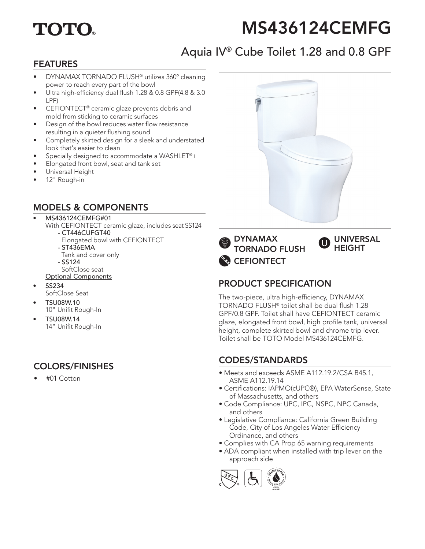# TOTO

# MS436124CEMFG

# Aquia IV® Cube Toilet 1.28 and 0.8 GPF

### FEATURES

- DYNAMAX TORNADO FLUSH® utilizes 360º cleaning power to reach every part of the bowl
- Ultra high-efficiency dual flush 1.28 & 0.8 GPF(4.8 & 3.0) LPF)
- CEFIONTECT® ceramic glaze prevents debris and mold from sticking to ceramic surfaces
- Design of the bowl reduces water flow resistance resulting in a quieter flushing sound
- Completely skirted design for a sleek and understated look that's easier to clean
- Specially designed to accommodate a WASHLET®+
- Elongated front bowl, seat and tank set
- Universal Height
- 12" Rough-in

#### MODELS & COMPONENTS

#### • MS436124CEMFG#01

- With CEFIONTECT ceramic glaze, includes seat SS124 - CT446CUFGT40
	- Elongated bowl with CEFIONTECT
	- ST436EMA
	- Tank and cover only
	- SS124
	- SoftClose seat
	- Optional Components
- SS234 SoftClose Seat
- TSU08W.10
- 10" Unifit Rough-In
- TSU08W.14 14" Unifit Rough-In

#### COLORS/FINISHES

• #01 Cotton







**CEFIONTECT** 

## PRODUCT SPECIFICATION

The two-piece, ultra high-efficiency, DYNAMAX TORNADO FLUSH® toilet shall be dual flush 1.28 GPF/0.8 GPF. Toilet shall have CEFIONTECT ceramic glaze, elongated front bowl, high profile tank, universal height, complete skirted bowl and chrome trip lever. Toilet shall be TOTO Model MS436124CEMFG.

## CODES/STANDARDS

- Meets and exceeds ASME A112.19.2/CSA B45.1, ASME A112.19.14
- Certifications: IAPMO(cUPC®), EPA WaterSense, State of Massachusetts, and others
- Code Compliance: UPC, IPC, NSPC, NPC Canada, and others
- Legislative Compliance: California Green Building Code, City of Los Angeles Water Efficiency Ordinance, and others
- Complies with CA Prop 65 warning requirements
- ADA compliant when installed with trip lever on the approach side